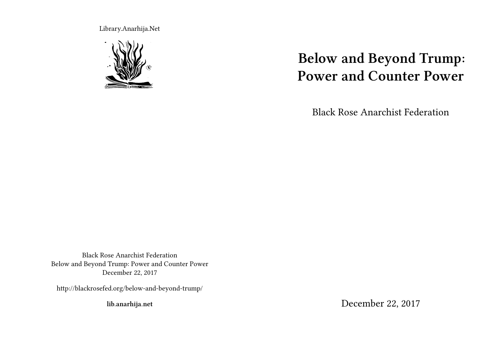Library.Anarhija.Net



# **Below and Beyond Trump: Power and Counter Power**

Black Rose Anarchist Federation

Black Rose Anarchist Federation Below and Beyond Trump: Power and Counter Power December 22, 2017

http://blackrosefed.org/below-and-beyond-trump/

**lib.anarhija.net**

December 22, 2017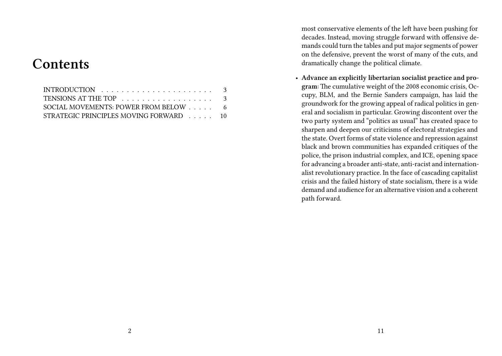# **Contents**

| TENSIONS AT THE TOP 3                  |  |  |  |  |
|----------------------------------------|--|--|--|--|
| SOCIAL MOVEMENTS: POWER FROM BELOW 6   |  |  |  |  |
| STRATEGIC PRINCIPLES MOVING FORWARD 10 |  |  |  |  |

most conservative elements of the left have been pushing for decades. Instead, moving struggle forward with offensive demands could turn the tables and put major segments of power on the defensive, prevent the worst of many of the cuts, and dramatically change the political climate.

• **Advance an explicitly libertarian socialist practice and program:** The cumulative weight of the 2008 economic crisis, Occupy, BLM, and the Bernie Sanders campaign, has laid the groundwork for the growing appeal of radical politics in general and socialism in particular. Growing discontent over the two party system and "politics as usual" has created space to sharpen and deepen our criticisms of electoral strategies and the state. Overt forms of state violence and repression against black and brown communities has expanded critiques of the police, the prison industrial complex, and ICE, opening space for advancing a broader anti-state, anti-racist and internationalist revolutionary practice. In the face of cascading capitalist crisis and the failed history of state socialism, there is a wide demand and audience for an alternative vision and a coherent path forward.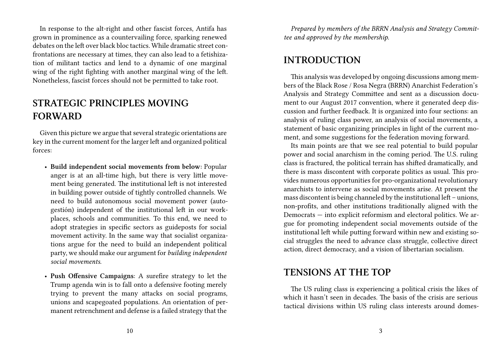In response to the alt-right and other fascist forces, Antifa has grown in prominence as a countervailing force, sparking renewed debates on the left over black bloc tactics. While dramatic street confrontations are necessary at times, they can also lead to a fetishization of militant tactics and lend to a dynamic of one marginal wing of the right fighting with another marginal wing of the left. Nonetheless, fascist forces should not be permitted to take root.

## **STRATEGIC PRINCIPLES MOVING FORWARD**

Given this picture we argue that several strategic orientations are key in the current moment for the larger left and organized political forces:

- **Build independent social movements from below:** Popular anger is at an all-time high, but there is very little movement being generated. The institutional left is not interested in building power outside of tightly controlled channels. We need to build autonomous social movement power (autogestión) independent of the institutional left in our workplaces, schools and communities. To this end, we need to adopt strategies in specific sectors as guideposts for social movement activity. In the same way that socialist organizations argue for the need to build an independent political party, we should make our argument for *building independent social movements*.
- **Push Offensive Campaigns**: A surefire strategy to let the Trump agenda win is to fall onto a defensive footing merely trying to prevent the many attacks on social programs, unions and scapegoated populations. An orientation of permanent retrenchment and defense is a failed strategy that the

*Prepared by members of the BRRN Analysis and Strategy Committee and approved by the membership.*

#### **INTRODUCTION**

This analysis was developed by ongoing discussions among members of the Black Rose / Rosa Negra (BRRN) Anarchist Federation's Analysis and Strategy Committee and sent as a discussion document to our August 2017 convention, where it generated deep discussion and further feedback. It is organized into four sections: an analysis of ruling class power, an analysis of social movements, a statement of basic organizing principles in light of the current moment, and some suggestions for the federation moving forward.

Its main points are that we see real potential to build popular power and social anarchism in the coming period. The U.S. ruling class is fractured, the political terrain has shifted dramatically, and there is mass discontent with corporate politics as usual. This provides numerous opportunities for pro-organizational revolutionary anarchists to intervene as social movements arise. At present the mass discontent is being channeled by the institutional left – unions, non-profits, and other institutions traditionally aligned with the Democrats — into explicit reformism and electoral politics. We argue for promoting independent social movements outside of the institutional left while putting forward within new and existing social struggles the need to advance class struggle, collective direct action, direct democracy, and a vision of libertarian socialism.

#### **TENSIONS AT THE TOP**

The US ruling class is experiencing a political crisis the likes of which it hasn't seen in decades. The basis of the crisis are serious tactical divisions within US ruling class interests around domes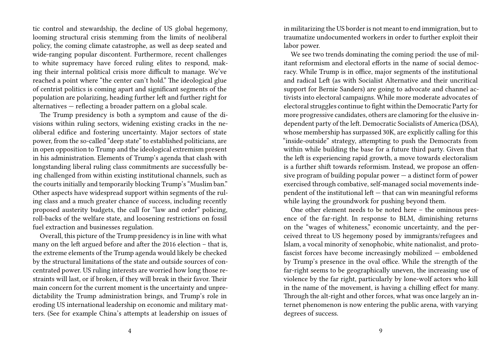tic control and stewardship, the decline of US global hegemony, looming structural crisis stemming from the limits of neoliberal policy, the coming climate catastrophe, as well as deep seated and wide-ranging popular discontent. Furthermore, recent challenges to white supremacy have forced ruling elites to respond, making their internal political crisis more difficult to manage. We've reached a point where "the center can't hold." The ideological glue of centrist politics is coming apart and significant segments of the population are polarizing, heading further left and further right for alternatives — reflecting a broader pattern on a global scale.

The Trump presidency is both a symptom and cause of the divisions within ruling sectors, widening existing cracks in the neoliberal edifice and fostering uncertainty. Major sectors of state power, from the so-called "deep state" to established politicians, are in open opposition to Trump and the ideological extremism present in his administration. Elements of Trump's agenda that clash with longstanding liberal ruling class commitments are successfully being challenged from within existing institutional channels, such as the courts initially and temporarily blocking Trump's "Muslim ban." Other aspects have widespread support within segments of the ruling class and a much greater chance of success, including recently proposed austerity budgets, the call for "law and order" policing, roll-backs of the welfare state, and loosening restrictions on fossil fuel extraction and businesses regulation.

Overall, this picture of the Trump presidency is in line with what many on the left argued before and after the 2016 election – that is, the extreme elements of the Trump agenda would likely be checked by the structural limitations of the state and outside sources of concentrated power. US ruling interests are worried how long those restraints will last, or if broken, if they will break in their favor. Their main concern for the current moment is the uncertainty and unpredictability the Trump administration brings, and Trump's role in eroding US international leadership on economic and military matters. (See for example China's attempts at leadership on issues of

in militarizing the US border is not meant to end immigration, but to traumatize undocumented workers in order to further exploit their labor power.

We see two trends dominating the coming period: the use of militant reformism and electoral efforts in the name of social democracy. While Trump is in office, major segments of the institutional and radical Left (as with Socialist Alternative and their uncritical support for Bernie Sanders) are going to advocate and channel activists into electoral campaigns. While more moderate advocates of electoral struggles continue to fight within the Democratic Party for more progressive candidates, others are clamoring for the elusive independent party of the left. Democratic Socialists of America (DSA), whose membership has surpassed 30K, are explicitly calling for this "inside-outside" strategy, attempting to push the Democrats from within while building the base for a future third party. Given that the left is experiencing rapid growth, a move towards electoralism is a further shift towards reformism. Instead, we propose an offensive program of building popular power  $-$  a distinct form of power exercised through combative, self-managed social movements independent of the institutional left — that can win meaningful reforms while laying the groundwork for pushing beyond them.

One other element needs to be noted here – the ominous presence of the far-right. In response to BLM, diminishing returns on the "wages of whiteness," economic uncertainty, and the perceived threat to US hegemony posed by immigrants/refugees and Islam, a vocal minority of xenophobic, white nationalist, and protofascist forces have become increasingly mobilized — emboldened by Trump's presence in the oval office. While the strength of the far-right seems to be geographically uneven, the increasing use of violence by the far right, particularly by lone-wolf actors who kill in the name of the movement, is having a chilling effect for many. Through the alt-right and other forces, what was once largely an internet phenomenon is now entering the public arena, with varying degrees of success.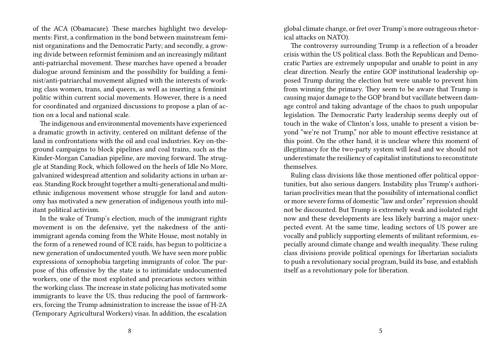of the ACA (Obamacare). These marches highlight two developments: First, a confirmation in the bond between mainstream feminist organizations and the Democratic Party; and secondly, a growing divide between reformist feminism and an increasingly militant anti-patriarchal movement. These marches have opened a broader dialogue around feminism and the possibility for building a feminist/anti-patriarchal movement aligned with the interests of working class women, trans, and queers, as well as inserting a feminist politic within current social movements. However, there is a need for coordinated and organized discussions to propose a plan of action on a local and national scale.

The indigenous and environmental movements have experienced a dramatic growth in activity, centered on militant defense of the land in confrontations with the oil and coal industries. Key on-theground campaigns to block pipelines and coal trains, such as the Kinder-Morgan Canadian pipeline, are moving forward. The struggle at Standing Rock, which followed on the heels of Idle No More, galvanized widespread attention and solidarity actions in urban areas. Standing Rock brought together a multi-generational and multiethnic indigenous movement whose struggle for land and autonomy has motivated a new generation of indigenous youth into militant political activism.

In the wake of Trump's election, much of the immigrant rights movement is on the defensive, yet the nakedness of the antiimmigrant agenda coming from the White House, most notably in the form of a renewed round of ICE raids, has begun to politicize a new generation of undocumented youth. We have seen more public expressions of xenophobia targeting immigrants of color. The purpose of this offensive by the state is to intimidate undocumented workers, one of the most exploited and precarious sectors within the working class.The increase in state policing has motivated some immigrants to leave the US, thus reducing the pool of farmworkers, forcing the Trump administration to increase the issue of H-2A (Temporary Agricultural Workers) visas. In addition, the escalation

global climate change, or fret over Trump's more outrageous rhetorical attacks on NATO).

The controversy surrounding Trump is a reflection of a broader crisis within the US political class. Both the Republican and Democratic Parties are extremely unpopular and unable to point in any clear direction. Nearly the entire GOP institutional leadership opposed Trump during the election but were unable to prevent him from winning the primary. They seem to be aware that Trump is causing major damage to the GOP brand but vacillate between damage control and taking advantage of the chaos to push unpopular legislation. The Democratic Party leadership seems deeply out of touch in the wake of Clinton's loss, unable to present a vision beyond "we're not Trump," nor able to mount effective resistance at this point. On the other hand, it is unclear where this moment of illegitimacy for the two-party system will lead and we should not underestimate the resiliency of capitalist institutions to reconstitute themselves.

Ruling class divisions like those mentioned offer political opportunities, but also serious dangers. Instability plus Trump's authoritarian proclivities mean that the possibility of international conflict or more severe forms of domestic "law and order" repression should not be discounted. But Trump is extremely weak and isolated right now and these developments are less likely barring a major unexpected event. At the same time, leading sectors of US power are vocally and publicly supporting elements of militant reformism, especially around climate change and wealth inequality. These ruling class divisions provide political openings for libertarian socialists to push a revolutionary social program, build its base, and establish itself as a revolutionary pole for liberation.